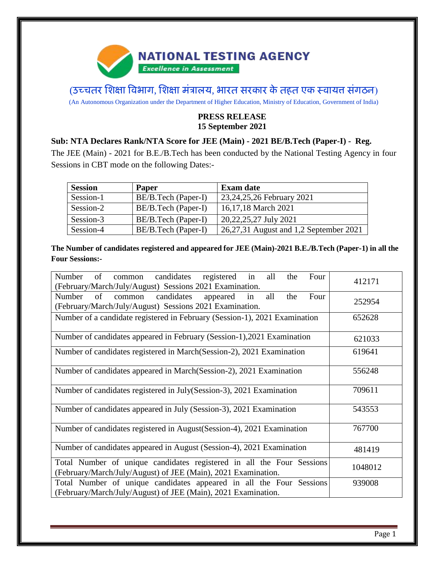# **NATIONAL TESTING AGENCY**

**Excellence in Assessment** 

(उच्चतर शिक्षा विभाग, शिक्षा मंत्रालय, भारत सरकार के तहत एक स्वायत्त संगठन)

(An Autonomous Organization under the Department of Higher Education, Ministry of Education, Government of India)

## **PRESS RELEASE 15 September 2021**

## **Sub: NTA Declares Rank/NTA Score for JEE (Main) - 2021 BE/B.Tech (Paper-I) - Reg.**

The JEE (Main) - 2021 for B.E./B.Tech has been conducted by the National Testing Agency in four Sessions in CBT mode on the following Dates:-

| <b>Session</b> | <b>Paper</b>        | <b>Exam date</b>                       |
|----------------|---------------------|----------------------------------------|
| Session-1      | BE/B.Tech (Paper-I) | 23, 24, 25, 26 February 2021           |
| Session-2      | BE/B.Tech (Paper-I) | 16,17,18 March 2021                    |
| Session-3      | BE/B.Tech (Paper-I) | 20, 22, 25, 27 July 2021               |
| Session-4      | BE/B.Tech (Paper-I) | 26,27,31 August and 1,2 September 2021 |

**The Number of candidates registered and appeared for JEE (Main)-2021 B.E./B.Tech (Paper-1) in all the Four Sessions:-**

| Number<br>of<br>candidates<br>in<br>registered<br>all<br>the<br>Four<br>common<br>(February/March/July/August) Sessions 2021 Examination. | 412171  |
|-------------------------------------------------------------------------------------------------------------------------------------------|---------|
| Number<br>of<br>candidates<br>all<br>Four<br>appeared<br>in<br>the<br>common<br>(February/March/July/August) Sessions 2021 Examination.   | 252954  |
| Number of a candidate registered in February (Session-1), 2021 Examination                                                                | 652628  |
| Number of candidates appeared in February (Session-1), 2021 Examination                                                                   | 621033  |
| Number of candidates registered in March (Session-2), 2021 Examination                                                                    | 619641  |
| Number of candidates appeared in March(Session-2), 2021 Examination                                                                       | 556248  |
| Number of candidates registered in July(Session-3), 2021 Examination                                                                      | 709611  |
| Number of candidates appeared in July (Session-3), 2021 Examination                                                                       | 543553  |
| Number of candidates registered in August (Session-4), 2021 Examination                                                                   | 767700  |
| Number of candidates appeared in August (Session-4), 2021 Examination                                                                     | 481419  |
| Total Number of unique candidates registered in all the Four Sessions<br>(February/March/July/August) of JEE (Main), 2021 Examination.    | 1048012 |
| Total Number of unique candidates appeared in all the Four Sessions<br>(February/March/July/August) of JEE (Main), 2021 Examination.      | 939008  |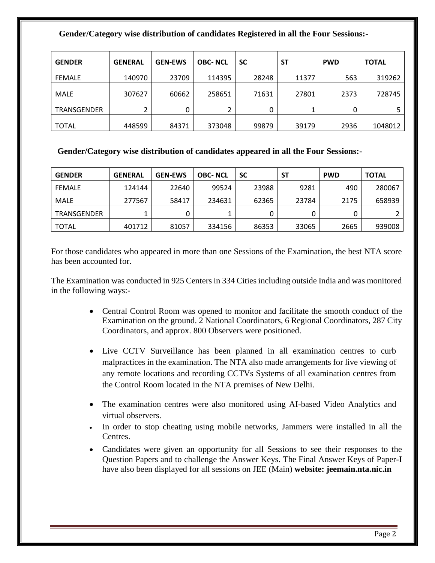#### **Gender/Category wise distribution of candidates Registered in all the Four Sessions:-**

| <b>GENDER</b> | <b>GENERAL</b> | <b>GEN-EWS</b> | <b>OBC-NCL</b> | <b>SC</b> | <b>ST</b> | <b>PWD</b> | <b>TOTAL</b> |
|---------------|----------------|----------------|----------------|-----------|-----------|------------|--------------|
| FEMALE        | 140970         | 23709          | 114395         | 28248     | 11377     | 563        | 319262       |
| MALE          | 307627         | 60662          | 258651         | 71631     | 27801     | 2373       | 728745       |
| TRANSGENDER   | 2              | 0              |                | 0         |           | 0          |              |
| <b>TOTAL</b>  | 448599         | 84371          | 373048         | 99879     | 39179     | 2936       | 1048012      |

#### **Gender/Category wise distribution of candidates appeared in all the Four Sessions:-**

| <b>GENDER</b> | <b>GENERAL</b> | <b>GEN-EWS</b> | <b>OBC-NCL</b> | <b>SC</b> | SΤ    | <b>PWD</b> | <b>TOTAL</b> |
|---------------|----------------|----------------|----------------|-----------|-------|------------|--------------|
| <b>FFMALE</b> | 124144         | 22640          | 99524          | 23988     | 9281  | 490        | 280067       |
| MALE          | 277567         | 58417          | 234631         | 62365     | 23784 | 2175       | 658939       |
| TRANSGENDER   |                |                |                |           |       |            |              |
| <b>TOTAL</b>  | 401712         | 81057          | 334156         | 86353     | 33065 | 2665       | 939008       |

For those candidates who appeared in more than one Sessions of the Examination, the best NTA score has been accounted for.

The Examination was conducted in 925 Centers in 334 Cities including outside India and was monitored in the following ways:-

- Central Control Room was opened to monitor and facilitate the smooth conduct of the Examination on the ground. 2 National Coordinators, 6 Regional Coordinators, 287 City Coordinators, and approx. 800 Observers were positioned.
- Live CCTV Surveillance has been planned in all examination centres to curb malpractices in the examination. The NTA also made arrangements for live viewing of any remote locations and recording CCTVs Systems of all examination centres from the Control Room located in the NTA premises of New Delhi.
- The examination centres were also monitored using AI-based Video Analytics and virtual observers.
- In order to stop cheating using mobile networks, Jammers were installed in all the Centres.
- Candidates were given an opportunity for all Sessions to see their responses to the Question Papers and to challenge the Answer Keys. The Final Answer Keys of Paper-I have also been displayed for all sessions on JEE (Main) **website: jeemain.nta.nic.in**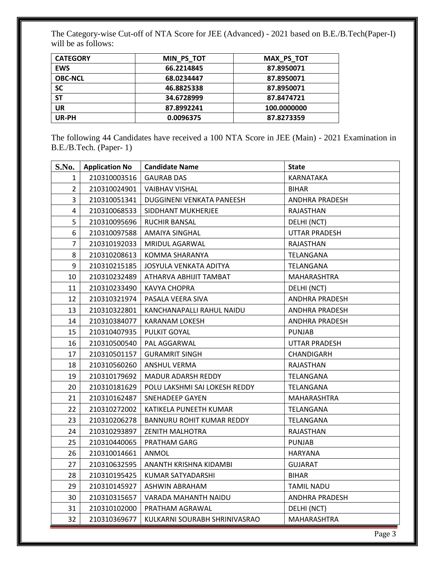The Category-wise Cut-off of NTA Score for JEE (Advanced) - 2021 based on B.E./B.Tech(Paper-I) will be as follows:

| <b>CATEGORY</b> | MIN PS TOT | <b>MAX PS TOT</b> |
|-----------------|------------|-------------------|
| <b>EWS</b>      | 66.2214845 | 87.8950071        |
| <b>OBC-NCL</b>  | 68.0234447 | 87.8950071        |
| SC              | 46.8825338 | 87.8950071        |
| <b>ST</b>       | 34.6728999 | 87.8474721        |
| UR              | 87.8992241 | 100.0000000       |
| UR-PH           | 0.0096375  | 87.8273359        |

The following 44 Candidates have received a 100 NTA Score in JEE (Main) - 2021 Examination in B.E./B.Tech. (Paper- 1)

| <b>S.No.</b>   | <b>Application No</b> | <b>Candidate Name</b>         | <b>State</b>          |
|----------------|-----------------------|-------------------------------|-----------------------|
| 1              | 210310003516          | <b>GAURAB DAS</b>             | KARNATAKA             |
| $\overline{2}$ | 210310024901          | <b>VAIBHAV VISHAL</b>         | <b>BIHAR</b>          |
| $\overline{3}$ | 210310051341          | DUGGINENI VENKATA PANEESH     | ANDHRA PRADESH        |
| 4              | 210310068533          | SIDDHANT MUKHERJEE            | RAJASTHAN             |
| 5              | 210310095696          | RUCHIR BANSAL                 | DELHI (NCT)           |
| 6              | 210310097588          | <b>AMAIYA SINGHAL</b>         | <b>UTTAR PRADESH</b>  |
| $\overline{7}$ | 210310192033          | <b>MRIDUL AGARWAL</b>         | RAJASTHAN             |
| 8              | 210310208613          | KOMMA SHARANYA                | TELANGANA             |
| 9              | 210310215185          | JOSYULA VENKATA ADITYA        | TELANGANA             |
| 10             | 210310232489          | ATHARVA ABHIJIT TAMBAT        | MAHARASHTRA           |
| 11             | 210310233490          | KAVYA CHOPRA                  | DELHI (NCT)           |
| 12             | 210310321974          | PASALA VEERA SIVA             | <b>ANDHRA PRADESH</b> |
| 13             | 210310322801          | KANCHANAPALLI RAHUL NAIDU     | ANDHRA PRADESH        |
| 14             | 210310384077          | KARANAM LOKESH                | ANDHRA PRADESH        |
| 15             | 210310407935          | PULKIT GOYAL                  | <b>PUNJAB</b>         |
| 16             | 210310500540          | PAL AGGARWAL                  | UTTAR PRADESH         |
| 17             | 210310501157          | <b>GURAMRIT SINGH</b>         | CHANDIGARH            |
| 18             | 210310560260          | ANSHUL VERMA                  | RAJASTHAN             |
| 19             | 210310179692          | MADUR ADARSH REDDY            | TELANGANA             |
| 20             | 210310181629          | POLU LAKSHMI SAI LOKESH REDDY | TELANGANA             |
| 21             | 210310162487          | SNEHADEEP GAYEN               | MAHARASHTRA           |
| 22             | 210310272002          | KATIKELA PUNEETH KUMAR        | TELANGANA             |
| 23             | 210310206278          | BANNURU ROHIT KUMAR REDDY     | TELANGANA             |
| 24             | 210310293897          | <b>ZENITH MALHOTRA</b>        | RAJASTHAN             |
| 25             | 210310440065          | PRATHAM GARG                  | <b>PUNJAB</b>         |
| 26             | 210310014661          | ANMOL                         | <b>HARYANA</b>        |
| 27             | 210310632595          | ANANTH KRISHNA KIDAMBI        | GUJARAT               |
| 28             | 210310195425          | KUMAR SATYADARSHI             | <b>BIHAR</b>          |
| 29             | 210310145927          | <b>ASHWIN ABRAHAM</b>         | <b>TAMIL NADU</b>     |
| 30             | 210310315657          | VARADA MAHANTH NAIDU          | <b>ANDHRA PRADESH</b> |
| 31             | 210310102000          | PRATHAM AGRAWAL               | DELHI (NCT)           |
| 32             | 210310369677          | KULKARNI SOURABH SHRINIVASRAO | MAHARASHTRA           |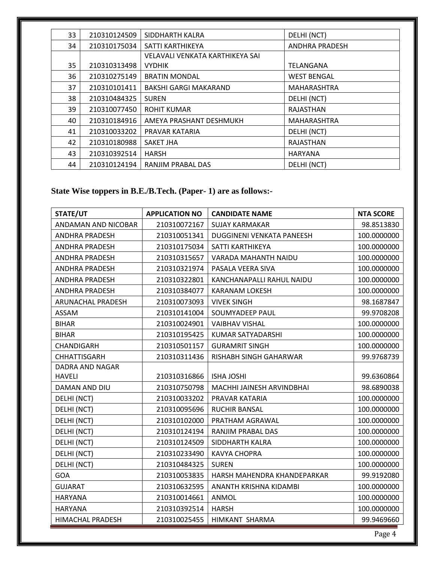| 33 | 210310124509 | SIDDHARTH KALRA                 | DELHI (NCT)           |
|----|--------------|---------------------------------|-----------------------|
| 34 | 210310175034 | SATTI KARTHIKEYA                | <b>ANDHRA PRADESH</b> |
|    |              | VELAVALI VENKATA KARTHIKEYA SAI |                       |
| 35 | 210310313498 | <b>VYDHIK</b>                   | TELANGANA             |
| 36 | 210310275149 | <b>BRATIN MONDAL</b>            | <b>WEST BENGAL</b>    |
| 37 | 210310101411 | <b>BAKSHI GARGI MAKARAND</b>    | MAHARASHTRA           |
| 38 | 210310484325 | <b>SUREN</b>                    | DELHI (NCT)           |
| 39 | 210310077450 | <b>ROHIT KUMAR</b>              | RAJASTHAN             |
| 40 | 210310184916 | AMEYA PRASHANT DESHMUKH         | MAHARASHTRA           |
| 41 | 210310033202 | PRAVAR KATARIA                  | DELHI (NCT)           |
| 42 | 210310180988 | SAKET JHA                       | RAJASTHAN             |
| 43 | 210310392514 | <b>HARSH</b>                    | <b>HARYANA</b>        |
| 44 | 210310124194 | RANJIM PRABAL DAS               | DELHI (NCT)           |

# **State Wise toppers in B.E./B.Tech. (Paper- 1) are as follows:-**

| STATE/UT                 | <b>APPLICATION NO</b> | <b>CANDIDATE NAME</b>       | <b>NTA SCORE</b> |
|--------------------------|-----------------------|-----------------------------|------------------|
| ANDAMAN AND NICOBAR      | 210310072167          | <b>SUJAY KARMAKAR</b>       | 98.8513830       |
| <b>ANDHRA PRADESH</b>    | 210310051341          | DUGGINENI VENKATA PANEESH   | 100.0000000      |
| <b>ANDHRA PRADESH</b>    | 210310175034          | SATTI KARTHIKEYA            | 100.0000000      |
| <b>ANDHRA PRADESH</b>    | 210310315657          | VARADA MAHANTH NAIDU        | 100.0000000      |
| <b>ANDHRA PRADESH</b>    | 210310321974          | PASALA VEERA SIVA           | 100.0000000      |
| <b>ANDHRA PRADESH</b>    | 210310322801          | KANCHANAPALLI RAHUL NAIDU   | 100.0000000      |
| <b>ANDHRA PRADESH</b>    | 210310384077          | <b>KARANAM LOKESH</b>       | 100.0000000      |
| <b>ARUNACHAL PRADESH</b> | 210310073093          | <b>VIVEK SINGH</b>          | 98.1687847       |
| ASSAM                    | 210310141004          | SOUMYADEEP PAUL             | 99.9708208       |
| <b>BIHAR</b>             | 210310024901          | <b>VAIBHAV VISHAL</b>       | 100.0000000      |
| <b>BIHAR</b>             | 210310195425          | KUMAR SATYADARSHI           | 100.0000000      |
| CHANDIGARH               | 210310501157          | <b>GURAMRIT SINGH</b>       | 100.0000000      |
| <b>CHHATTISGARH</b>      | 210310311436          | RISHABH SINGH GAHARWAR      | 99.9768739       |
| DADRA AND NAGAR          |                       |                             |                  |
| <b>HAVELI</b>            | 210310316866          | <b>ISHA JOSHI</b>           | 99.6360864       |
| DAMAN AND DIU            | 210310750798          | MACHHI JAINESH ARVINDBHAI   | 98.6890038       |
| DELHI (NCT)              | 210310033202          | PRAVAR KATARIA              | 100.0000000      |
| DELHI (NCT)              | 210310095696          | <b>RUCHIR BANSAL</b>        | 100.0000000      |
| DELHI (NCT)              | 210310102000          | PRATHAM AGRAWAL             | 100.0000000      |
| DELHI (NCT)              | 210310124194          | RANJIM PRABAL DAS           | 100.0000000      |
| DELHI (NCT)              | 210310124509          | SIDDHARTH KALRA             | 100.0000000      |
| DELHI (NCT)              | 210310233490          | <b>KAVYA CHOPRA</b>         | 100.0000000      |
| DELHI (NCT)              | 210310484325          | <b>SUREN</b>                | 100.0000000      |
| <b>GOA</b>               | 210310053835          | HARSH MAHENDRA KHANDEPARKAR | 99.9192080       |
| <b>GUJARAT</b>           | 210310632595          | ANANTH KRISHNA KIDAMBI      | 100.0000000      |
| <b>HARYANA</b>           | 210310014661          | <b>ANMOL</b>                | 100.0000000      |
| <b>HARYANA</b>           | 210310392514          | <b>HARSH</b>                | 100.0000000      |
| HIMACHAL PRADESH         | 210310025455          | HIMKANT SHARMA              | 99.9469660       |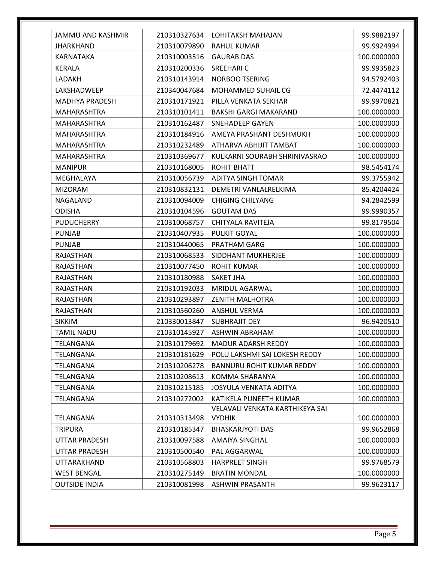| JAMMU AND KASHMIR     | 210310327634 | LOHITAKSH MAHAJAN                | 99.9882197  |
|-----------------------|--------------|----------------------------------|-------------|
| <b>JHARKHAND</b>      | 210310079890 | RAHUL KUMAR                      | 99.9924994  |
| <b>KARNATAKA</b>      | 210310003516 | <b>GAURAB DAS</b>                | 100.0000000 |
| <b>KERALA</b>         | 210310200336 | SREEHARI C                       | 99.9935823  |
| LADAKH                | 210310143914 | NORBOO TSERING                   | 94.5792403  |
| LAKSHADWEEP           | 210340047684 | MOHAMMED SUHAIL CG               | 72.4474112  |
| <b>MADHYA PRADESH</b> | 210310171921 | PILLA VENKATA SEKHAR             | 99.9970821  |
| <b>MAHARASHTRA</b>    | 210310101411 | <b>BAKSHI GARGI MAKARAND</b>     | 100.0000000 |
| MAHARASHTRA           | 210310162487 | SNEHADEEP GAYEN                  | 100.0000000 |
| MAHARASHTRA           | 210310184916 | AMEYA PRASHANT DESHMUKH          | 100.0000000 |
| MAHARASHTRA           | 210310232489 | ATHARVA ABHIJIT TAMBAT           | 100.0000000 |
| MAHARASHTRA           | 210310369677 | KULKARNI SOURABH SHRINIVASRAO    | 100.0000000 |
| <b>MANIPUR</b>        | 210310168005 | ROHIT BHATT                      | 98.5454174  |
| MEGHALAYA             | 210310056739 | ADITYA SINGH TOMAR               | 99.3755942  |
| <b>MIZORAM</b>        | 210310832131 | DEMETRI VANLALRELKIMA            | 85.4204424  |
| NAGALAND              | 210310094009 | <b>CHIGING CHILYANG</b>          | 94.2842599  |
| <b>ODISHA</b>         | 210310104596 | <b>GOUTAM DAS</b>                | 99.9990357  |
| <b>PUDUCHERRY</b>     | 210310068757 | CHITYALA RAVITEJA                | 99.8179504  |
| <b>PUNJAB</b>         | 210310407935 | PULKIT GOYAL                     | 100.0000000 |
| <b>PUNJAB</b>         | 210310440065 | PRATHAM GARG                     | 100.0000000 |
| RAJASTHAN             | 210310068533 | SIDDHANT MUKHERJEE               | 100.0000000 |
| RAJASTHAN             | 210310077450 | <b>ROHIT KUMAR</b>               | 100.0000000 |
| <b>RAJASTHAN</b>      | 210310180988 | SAKET JHA                        | 100.0000000 |
| <b>RAJASTHAN</b>      | 210310192033 | MRIDUL AGARWAL                   | 100.0000000 |
| <b>RAJASTHAN</b>      | 210310293897 | <b>ZENITH MALHOTRA</b>           | 100.0000000 |
| RAJASTHAN             | 210310560260 | <b>ANSHUL VERMA</b>              | 100.0000000 |
| <b>SIKKIM</b>         | 210330013847 | <b>SUBHRAJIT DEY</b>             | 96.9420510  |
| <b>TAMIL NADU</b>     | 210310145927 | <b>ASHWIN ABRAHAM</b>            | 100.0000000 |
| TELANGANA             | 210310179692 | MADUR ADARSH REDDY               | 100.0000000 |
| TELANGANA             | 210310181629 | POLU LAKSHMI SAI LOKESH REDDY    | 100.0000000 |
| TELANGANA             | 210310206278 | <b>BANNURU ROHIT KUMAR REDDY</b> | 100.0000000 |
| TELANGANA             | 210310208613 | KOMMA SHARANYA                   | 100.0000000 |
| TELANGANA             | 210310215185 | JOSYULA VENKATA ADITYA           | 100.0000000 |
| TELANGANA             | 210310272002 | KATIKELA PUNEETH KUMAR           | 100.0000000 |
|                       |              | VELAVALI VENKATA KARTHIKEYA SAI  |             |
| TELANGANA             | 210310313498 | <b>VYDHIK</b>                    | 100.0000000 |
| <b>TRIPURA</b>        | 210310185347 | <b>BHASKARJYOTI DAS</b>          | 99.9652868  |
| <b>UTTAR PRADESH</b>  | 210310097588 | <b>AMAIYA SINGHAL</b>            | 100.0000000 |
| UTTAR PRADESH         | 210310500540 | PAL AGGARWAL                     | 100.0000000 |
| UTTARAKHAND           | 210310568803 | <b>HARPREET SINGH</b>            | 99.9768579  |
| <b>WEST BENGAL</b>    | 210310275149 | <b>BRATIN MONDAL</b>             | 100.0000000 |
| <b>OUTSIDE INDIA</b>  | 210310081998 | <b>ASHWIN PRASANTH</b>           | 99.9623117  |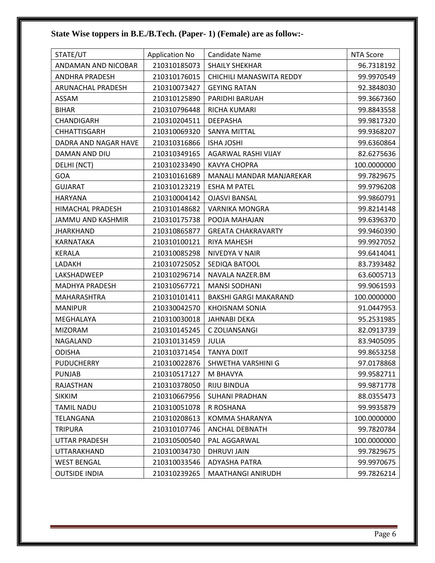# **State Wise toppers in B.E./B.Tech. (Paper- 1) (Female) are as follow:-**

| STATE/UT                | <b>Application No</b> | <b>Candidate Name</b>        | <b>NTA Score</b> |
|-------------------------|-----------------------|------------------------------|------------------|
| ANDAMAN AND NICOBAR     | 210310185073          | <b>SHAILY SHEKHAR</b>        | 96.7318192       |
| ANDHRA PRADESH          | 210310176015          | CHICHILI MANASWITA REDDY     | 99.9970549       |
| ARUNACHAL PRADESH       | 210310073427          | <b>GEYING RATAN</b>          | 92.3848030       |
| ASSAM                   | 210310125890          | PARIDHI BARUAH               | 99.3667360       |
| <b>BIHAR</b>            | 210310796448          | RICHA KUMARI                 | 99.8843558       |
| CHANDIGARH              | 210310204511          | <b>DEEPASHA</b>              | 99.9817320       |
| <b>CHHATTISGARH</b>     | 210310069320          | <b>SANYA MITTAL</b>          | 99.9368207       |
| DADRA AND NAGAR HAVE    | 210310316866          | <b>ISHA JOSHI</b>            | 99.6360864       |
| DAMAN AND DIU           | 210310349165          | AGARWAL RASHI VIJAY          | 82.6275636       |
| DELHI (NCT)             | 210310233490          | <b>KAVYA CHOPRA</b>          | 100.0000000      |
| <b>GOA</b>              | 210310161689          | MANALI MANDAR MANJAREKAR     | 99.7829675       |
| <b>GUJARAT</b>          | 210310123219          | <b>ESHA M PATEL</b>          | 99.9796208       |
| <b>HARYANA</b>          | 210310004142          | <b>OJASVI BANSAL</b>         | 99.9860791       |
| <b>HIMACHAL PRADESH</b> | 210310148682          | <b>VARNIKA MONGRA</b>        | 99.8214148       |
| JAMMU AND KASHMIR       | 210310175738          | POOJA MAHAJAN                | 99.6396370       |
| <b>JHARKHAND</b>        | 210310865877          | <b>GREATA CHAKRAVARTY</b>    | 99.9460390       |
| KARNATAKA               | 210310100121          | <b>RIYA MAHESH</b>           | 99.9927052       |
| <b>KERALA</b>           | 210310085298          | NIVEDYA V NAIR               | 99.6414041       |
| LADAKH                  | 210310725052          | SEDIQA BATOOL                | 83.7393482       |
| LAKSHADWEEP             | 210310296714          | NAVALA NAZER.BM              | 63.6005713       |
| <b>MADHYA PRADESH</b>   | 210310567721          | <b>MANSI SODHANI</b>         | 99.9061593       |
| <b>MAHARASHTRA</b>      | 210310101411          | <b>BAKSHI GARGI MAKARAND</b> | 100.0000000      |
| <b>MANIPUR</b>          | 210330042570          | KHOISNAM SONIA               | 91.0447953       |
| MEGHALAYA               | 210310030018          | <b>JAHNABI DEKA</b>          | 95.2531985       |
| <b>MIZORAM</b>          | 210310145245          | C ZOLIANSANGI                | 82.0913739       |
| NAGALAND                | 210310131459          | <b>JULIA</b>                 | 83.9405095       |
| <b>ODISHA</b>           | 210310371454          | <b>TANYA DIXIT</b>           | 99.8653258       |
| <b>PUDUCHERRY</b>       | 210310022876          | SHWETHA VARSHINI G           | 97.0178868       |
| <b>PUNJAB</b>           | 210310517127          | M BHAVYA                     | 99.9582711       |
| RAJASTHAN               | 210310378050          | <b>RIJU BINDUA</b>           | 99.9871778       |
| <b>SIKKIM</b>           | 210310667956          | <b>SUHANI PRADHAN</b>        | 88.0355473       |
| <b>TAMIL NADU</b>       | 210310051078          | R ROSHANA                    | 99.9935879       |
| TELANGANA               | 210310208613          | KOMMA SHARANYA               | 100.0000000      |
| <b>TRIPURA</b>          | 210310107746          | <b>ANCHAL DEBNATH</b>        | 99.7820784       |
| UTTAR PRADESH           | 210310500540          | PAL AGGARWAL                 | 100.0000000      |
| UTTARAKHAND             | 210310034730          | <b>DHRUVI JAIN</b>           | 99.7829675       |
| <b>WEST BENGAL</b>      | 210310033546          | ADYASHA PATRA                | 99.9970675       |
| <b>OUTSIDE INDIA</b>    | 210310239265          | MAATHANGI ANIRUDH            | 99.7826214       |